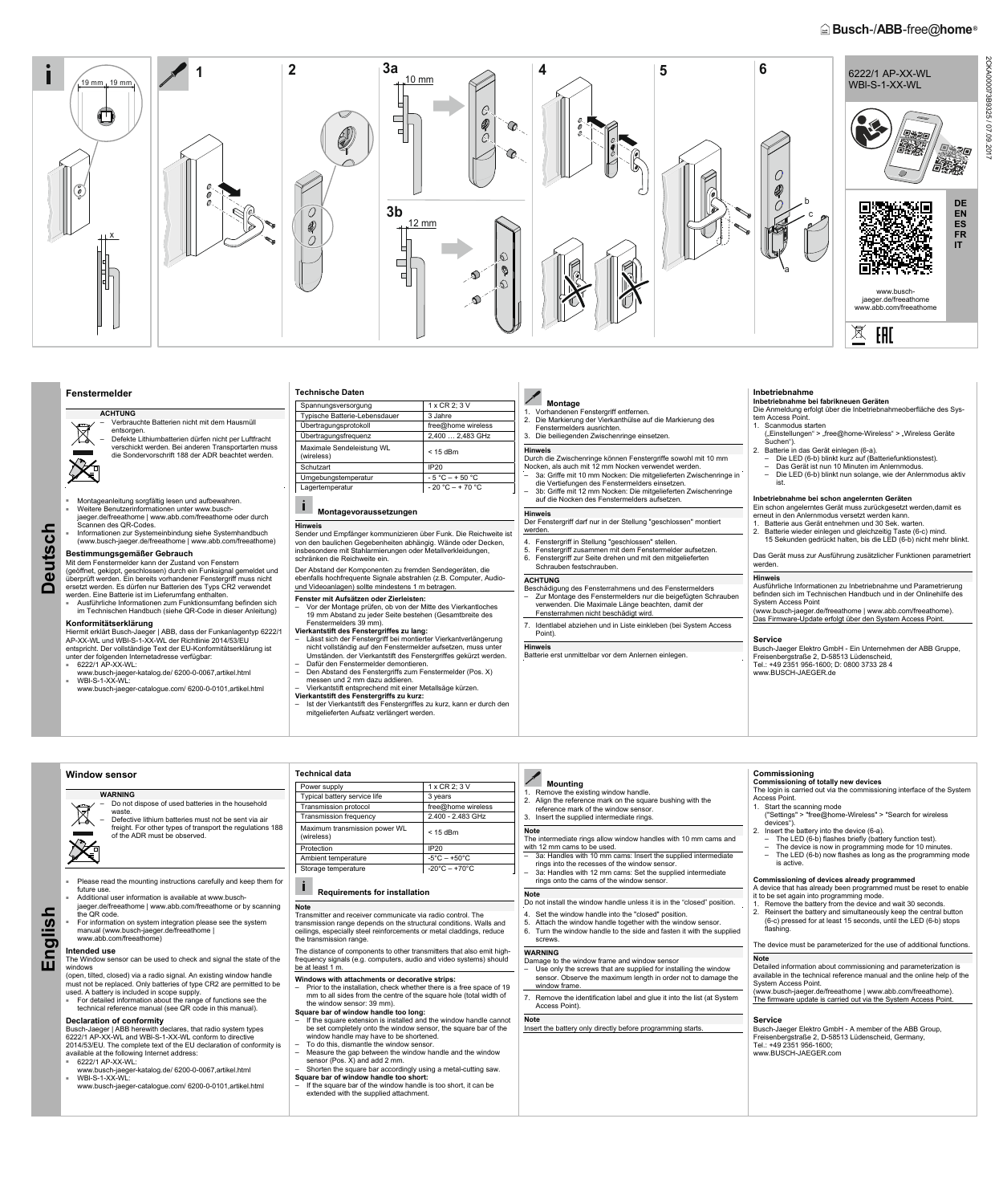# **Busch-/ABB-free@home**<sup>®</sup>



**Deutsch** 

uts  $\mathbf 0$ ◘

 $\frac{1}{\mathbf{C}}$ 

# **Fenstermelder**

**ACHTUNG**  – Verbrauchte Batterien nicht mit dem Hausmüll entsorgen. – Defekte Lithiumbatterien dürfen nicht per Luftfracht

- Montageanleitung sorgfältig lesen und aufbewahren. Weitere Benutzerinformationen unter www.busch-
- jaeger.de/freeathome | www.abb.com/freeathome oder durch<br>Scannen des QR-Codes.
- Informationen zur Systemeinbindung siehe Systemhandbuch (www.busch-jaeger.de/freeathome | www.abb.com/freeathome)

verschickt werden. Bei anderen Transportarten muss die Sondervorschrift 188 der ADR beachtet werden.

(geöffnet, gekippt, geschlossen) durch ein Funksignal gemeldet und überprüft werden. Ein bereits vorhandener Fenstergriff muss nicht ersetzt werden. Es dürfen nur Batterien des Typs CR2 verwendet werden. Eine Batterie ist im Lieferumfang enthalten.

Ausführliche Informationen zum Funktionsumfang befinden sich im Technischen Handbuch (siehe QR-Code in dieser Anleitung)

#### **Bestimmungsgemäßer Gebrauch**  Mit dem Fenstermelder kann der Zustand von Fenstern

#### Ť.  **Montagevoraussetzungen**

Der Abstand der Komponenten zu fremden Sendegeräten, die ebenfalls hochfrequente Signale abstrahlen (z.B. Computer, Audiound Videoanlagen) sollte mindestens 1 m betragen.

**Konformitätserklärung**  Hiermit erklärt Busch-Jaeger | ABB, dass der Funkanlagentyp 6222/1 AP-XX-WL und WBl-S-1-XX-WL der Richtlinie 2014/53/EU

- entspricht. Der vollständige Text der EU-Konformitätserklärung ist unter der folgenden Internetadresse verfügbar: ■ 6222/1 AP-XX-WL:
- www.busch-jaeger-katalog.de/ 6200-0-0067,artikel.html ■ WBl-S-1-XX-WL:
- www.busch-jaeger-catalogue.com/ 6200-0-0101,artikel.html
- Lässt sich der Fenstergriff bei montierter Vierkantverlängerung nicht vollständig auf den Fenstermelder aufsetzen, muss unter Umständen. der Vierkantstift des Fenstergriffes gekürzt werden.
- Dafür den Fenstermelder demontieren. – Den Abstand des Fenstergriffs zum Fenstermelder (Pos. X)
- messen und 2 mm dazu addieren.
- Vierkantstift entsprechend mit einer Metallsäge kürzen. **Vierkantstift des Fenstergriffs zu kurz:**
- Ist der Vierkantstift des Fenstergriffes zu kurz, kann er durch den mitgelieferten Aufsatz verlängert werden.

| <b>Technische Daten</b>                 |                      |
|-----------------------------------------|----------------------|
| Spannungsversorgung                     | 1 x CR 2; 3 V        |
| Typische Batterie-Lebensdauer           | 3 Jahre              |
| Übertragungsprotokoll                   | free@home wireless   |
| Übertragungsfrequenz                    | 2,400  2,483 GHz     |
| Maximale Sendeleistung WL<br>(wireless) | $<$ 15 dBm           |
| Schutzart                               | <b>IP20</b>          |
| Umgebungstemperatur                     | $-5 °C - +50 °C$     |
| Lagertemperatur                         | $-20$ °C $-$ + 70 °C |
|                                         |                      |

Der Fenstergriff darf nur in der Stellung "geschlossen" montiert werden

**Hinweis**

Sender und Empfänger kommunizieren über Funk. Die Reichweite ist von den baulichen Gegebenheiten abhängig. Wände oder Decken, insbesondere mit Stahlarmierungen oder Metallverkleidungen, schränken die Reichweite ein.

- ("Einstellungen" > "free@home-Wireless" > "Wireless Geräte Suchen").
- 2. Batterie in das Gerät einlegen (6-a).
	- Die LED (6-b) blinkt kurz auf (Batteriefunktionstest).
	- Das Gerät ist nun 10 Minuten im Anlernmodus.
- Die LED (6-b) blinkt nun solange, wie der Anlernmodus aktiv ist.

**Fenster mit Aufsätzen oder Zierleisten:** 

– Vor der Montage prüfen, ob von der Mitte des Vierkantloches 19 mm Abstand zu jeder Seite bestehen (Gesamtbreite des Fenstermelders 39 mm).

### **Vierkantstift des Fenstergriffes zu lang:**

# **Montage**

- 1. Vorhandenen Fenstergriff entfernen.
- 2. Die Markierung der Vierkanthülse auf die Markierung des Fenstermelders ausrichten. 3. Die beiliegenden Zwischenringe einsetzen.

# **Hinweis**

# Durch die Zwischenringe können Fenstergriffe sowohl mit 10 mm

# **Technical data**  Power supply 1 x CR 2; 3 V Typical battery service life 3 years<br>
Transmission protocol free@home wireless Transmission protocol free @home wirele<br>Transmission frequency 2.400 - 2.483 GHz Transmission frequency Maximum transmission power WL (wireless) < 15 dBm Protection and IP20 Ambient temperature  $\begin{vmatrix} -5^{\circ}C - +50^{\circ}C \end{vmatrix}$ Storage temperature  $\vert$  -20°C – +70°C

# **i** Requirements for installation

- Nocken, als auch mit 12 mm Nocken verwendet werden.
- 3a: Griffe mit 10 mm Nocken: Die mitgelieferten Zwischenringe in die Vertiefungen des Fenstermelders einsetzen. – 3b: Griffe mit 12 mm Nocken: Die mitgelieferten Zwischenringe auf die Nocken des Fenstermelders aufsetzen.

### **Hinweis**

- 4. Fenstergriff in Stellung "geschlossen" stellen.
- 5. Fenstergriff zusammen mit dem Fenstermelder aufsetzen.
- 6. Fenstergriff zur Seite drehen und mit den mitgelieferten Schrauben festschrauben.

#### **ACHTUNG**

- Beschädigung des Fensterrahmens und des Fenstermelders – Zur Montage des Fenstermelders nur die beigefügten Schrauben verwenden. Die Maximale Länge beachten, damit der
- Fensterrahmen nicht beschädigt wird.
- 7. Identlabel abziehen und in Liste einkleben (bei System Access Point).

## **Hinweis**

Batterie erst unmittelbar vor dem Anlernen einlegen.

# **Inbetriebnahme**

#### **Inbetriebnahme bei fabrikneuen Geräten**  Die Anmeldung erfolgt über die Inbetriebnahmeoberfläche des Sys-

tem Access Point. 1. Scanmodus starten

#### **Inbetriebnahme bei schon angelernten Geräten**  Ein schon angelerntes Gerät muss zurückgesetzt werden,damit es erneut in den Anlernmodus versetzt werden kann.

1. Batterie aus Gerät entnehmen und 30 Sek. warten.

2. Batterie wieder einlegen und gleichzeitig Taste (6-c) mind. 15 Sekunden gedrückt halten, bis die LED (6-b) nicht mehr blinkt.

Das Gerät muss zur Ausführung zusätzlicher Funktionen parametriert werden.

### **Hinweis**

Ausführliche Informationen zu Inbetriebnahme und Parametrierung befinden sich im Technischen Handbuch und in der Onlinehilfe des System Access Point (www.busch-jaeger.de/freeathome | www.abb.com/freeathome). Das Firmware-Update erfolgt über den System Access Point.

### **Service**

Busch-Jaeger Elektro GmbH - Ein Unternehmen der ABB Gruppe, Freisenbergstraße 2, D-58513 Lüdenscheid, Tel.: +49 2351 956-1600; D: 0800 3733 28 4 www.BUSCH-JAEGER.de

# **Window sensor**

- **WARNING**  – Do not dispose of used batteries in the household  $\boxtimes$ waste.
	- Defective lithium batteries must not be sent via air freight. For other types of transport the regulations 188 of the ADR must be observed.
- Please read the mounting instructions carefully and keep them for future use.
- **English**  Additional user information is available at www.buschjaeger.de/freeathome | www.abb.com/freeathome or by scanning

# **Mounting**

| jaeger.de/freeathome   www.abb.com/freeathome or by scanning<br>the QR code.<br>For information on system integration please see the system<br>manual (www.busch-jaeger.de/freeathome  <br>www.abb.com/freeathome)                                                                                                                                                                                                                                                                                                                      | <b>Note</b><br>Transmitter and receiver communicate via radio control. The<br>transmission range depends on the structural conditions. Walls and<br>ceilings, especially steel reinforcements or metal claddings, reduce<br>the transmission range.                                                                                                                                                                                                                                                                                            | ווטוגיטע טוסטט טון שוויט וועסט און פארוואן אוויס דעם וואסווויטע.<br>4. Set the window handle into the "closed" position.<br>5. Attach the window handle together with the window sensor.<br>6. Turn the window handle to the side and fasten it with the supplied<br>screws. | Remove the battery from the gevice and wait so seconds.<br>Reinsert the battery and simultaneously keep the central button<br>(6-c) pressed for at least 15 seconds, until the LED (6-b) stops<br>flashing.<br>The device must be parameterized for the use of additional functions.                                |
|-----------------------------------------------------------------------------------------------------------------------------------------------------------------------------------------------------------------------------------------------------------------------------------------------------------------------------------------------------------------------------------------------------------------------------------------------------------------------------------------------------------------------------------------|------------------------------------------------------------------------------------------------------------------------------------------------------------------------------------------------------------------------------------------------------------------------------------------------------------------------------------------------------------------------------------------------------------------------------------------------------------------------------------------------------------------------------------------------|------------------------------------------------------------------------------------------------------------------------------------------------------------------------------------------------------------------------------------------------------------------------------|---------------------------------------------------------------------------------------------------------------------------------------------------------------------------------------------------------------------------------------------------------------------------------------------------------------------|
| Intended use<br>The Window sensor can be used to check and signal the state of the<br>windows<br>(open, tilted, closed) via a radio signal. An existing window handle<br>must not be replaced. Only batteries of type CR2 are permitted to be                                                                                                                                                                                                                                                                                           | The distance of components to other transmitters that also emit high-<br>frequency signals (e.g. computers, audio and video systems) should<br>be at least 1 m.<br>Windows with attachments or decorative strips:<br>- Prior to the installation, check whether there is a free space of 19                                                                                                                                                                                                                                                    | <b>WARNING</b><br>Damage to the window frame and window sensor<br>Use only the screws that are supplied for installing the window<br>sensor. Observe the maximum length in order not to damage the<br>window frame.                                                          | Note<br>Detailed information about commissioning and parameterization is<br>available in the technical reference manual and the online help of the<br>System Access Point.                                                                                                                                          |
| used. A battery is included in scope supply.<br>For detailed information about the range of functions see the<br>technical reference manual (see QR code in this manual).<br>Declaration of conformity<br>Busch-Jaeger   ABB herewith declares, that radio system types<br>6222/1 AP-XX-WL and WBI-S-1-XX-WL conform to directive<br>2014/53/EU. The complete text of the EU declaration of conformity is<br>available at the following Internet address:<br>6222/1 AP-XX-WL:<br>www.busch-jaeger-katalog.de/ 6200-0-0067, artikel.html | mm to all sides from the centre of the square hole (total width of<br>the window sensor: 39 mm).<br>Square bar of window handle too long:<br>$-$ If the square extension is installed and the window handle cannot<br>be set completely onto the window sensor, the square bar of the<br>window handle may have to be shortened.<br>- To do this, dismantle the window sensor.<br>- Measure the gap between the window handle and the window<br>sensor (Pos. X) and add 2 mm.<br>Shorten the square bar accordingly using a metal-cutting saw. | Remove the identification label and glue it into the list (at System<br>Access Point).<br><b>Note</b><br>Insert the battery only directly before programming starts.                                                                                                         | (www.busch-jaeger.de/freeathome   www.abb.com/freeathome).<br>The firmware update is carried out via the System Access Point.<br><b>Service</b><br>Busch-Jaeger Elektro GmbH - A member of the ABB Group,<br>Freisenbergstraße 2, D-58513 Lüdenscheid, Germany,<br>Tel.: +49 2351 956-1600:<br>www.BUSCH-JAEGER.com |
| WBI-S-1-XX-WL:<br>www.busch-jaeger-catalogue.com/ 6200-0-0101,artikel.html                                                                                                                                                                                                                                                                                                                                                                                                                                                              | Square bar of window handle too short:<br>$-$ If the square bar of the window handle is too short, it can be<br>extended with the supplied attachment.                                                                                                                                                                                                                                                                                                                                                                                         |                                                                                                                                                                                                                                                                              |                                                                                                                                                                                                                                                                                                                     |

1. Remove the existing window handle. 2. Align the reference mark on the square bushing with the reference mark of the window sensor.

# 3. Insert the supplied intermediate rings.

**Note** The intermediate rings allow window handles with 10 mm cams and

- with 12 mm cams to be used. – 3a: Handles with 10 mm cams: Insert the supplied intermediate
- rings into the recesses of the window sensor. – 3a: Handles with 12 mm cams: Set the supplied intermediate
- rings onto the cams of the window sensor. **Note**

Do not install the window handle unless it is in the "closed" position.

# **Commissioning**

**Commissioning of totally new devices**  The login is carried out via the commissioning interface of the System Access Point.

- 1. Start the scanning mode
- ("Settings" > "free@home-Wireless" > "Search for wireless devices").
- 2. Insert the battery into the device (6-a).
- The LED (6-b) flashes briefly (battery function test).
- The device is now in programming mode for 10 minutes. – The LED (6-b) now flashes as long as the programming mode is active.

# **Commissioning of devices already programmed**  A device that has already been programmed must be reset to enable

it to be set again into programming mode.

1. Remove the battery from the device and wait 30 seconds.